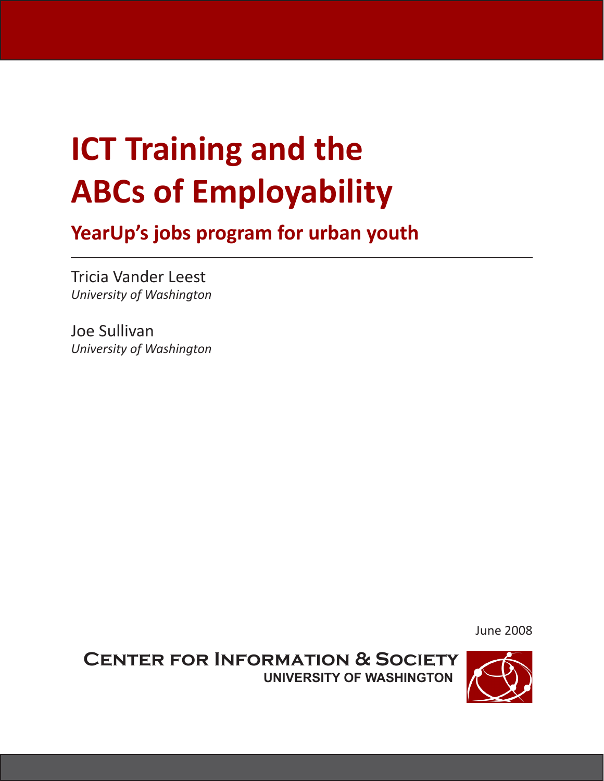# **ICT Training and the ABCs of Employability**

**YearUp's jobs program for urban youth**

Tricia Vander Leest *University of Washington*

Joe Sullivan *University of Washington*

June 2008

**Center for Information & Society University of Washington**

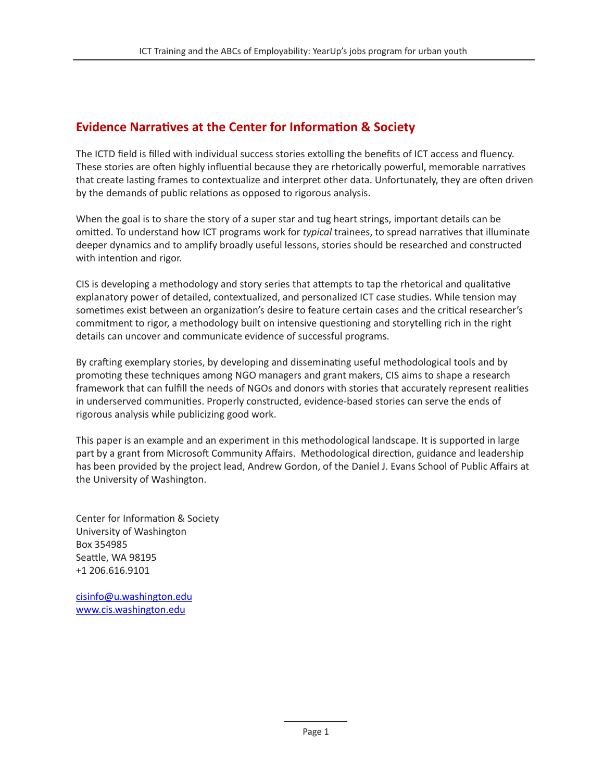#### **Evidence Narratives at the Center for Information & Society**

The ICTD field is filled with individual success stories extolling the benefits of ICT access and fluency. These stories are often highly influential because they are rhetorically powerful, memorable narratives that create lasting frames to contextualize and interpret other data. Unfortunately, they are often driven by the demands of public relations as opposed to rigorous analysis.

When the goal is to share the story of a super star and tug heart strings, important details can be omitted. To understand how ICT programs work for *typical* trainees, to spread narratives that illuminate deeper dynamics and to amplify broadly useful lessons, stories should be researched and constructed with intention and rigor.

CIS is developing a methodology and story series that attempts to tap the rhetorical and qualitative explanatory power of detailed, contextualized, and personalized ICT case studies. While tension may sometimes exist between an organization's desire to feature certain cases and the critical researcher's commitment to rigor, a methodology built on intensive questioning and storytelling rich in the right details can uncover and communicate evidence of successful programs.

By crafting exemplary stories, by developing and disseminating useful methodological tools and by promoting these techniques among NGO managers and grant makers, CIS aims to shape a research framework that can fulfill the needs of NGOs and donors with stories that accurately represent realities in underserved communities. Properly constructed, evidence-based stories can serve the ends of rigorous analysis while publicizing good work.

This paper is an example and an experiment in this methodological landscape. It is supported in large part by a grant from Microsoft Community Affairs. Methodological direction, guidance and leadership has been provided by the project lead, Andrew Gordon, of the Daniel J. Evans School of Public Affairs at the University of Washington.

Center for Information & Society University of Washington Box 354985 Seattle, WA 98195 +1 206.616.9101

cisinfo@u.washington.edu www.cis.washington.edu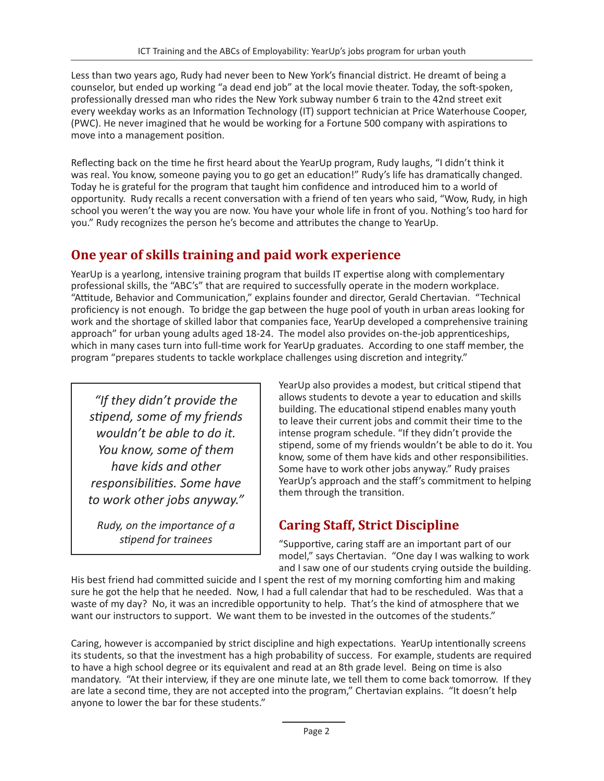Less than two years ago, Rudy had never been to New York's financial district. He dreamt of being a counselor, but ended up working "a dead end job" at the local movie theater. Today, the soft-spoken, professionally dressed man who rides the New York subway number 6 train to the 42nd street exit every weekday works as an Information Technology (IT) support technician at Price Waterhouse Cooper, (PWC). He never imagined that he would be working for a Fortune 500 company with aspirations to move into a management position.

Reflecting back on the time he first heard about the YearUp program, Rudy laughs, "I didn't think it was real. You know, someone paying you to go get an education!" Rudy's life has dramatically changed. Today he is grateful for the program that taught him confidence and introduced him to a world of opportunity. Rudy recalls a recent conversation with a friend of ten years who said, "Wow, Rudy, in high school you weren't the way you are now. You have your whole life in front of you. Nothing's too hard for you." Rudy recognizes the person he's become and attributes the change to YearUp.

#### **One year of skills training and paid work experience**

YearUp is a yearlong, intensive training program that builds IT expertise along with complementary professional skills, the "ABC's" that are required to successfully operate in the modern workplace. "Attitude, Behavior and Communication," explains founder and director, Gerald Chertavian. "Technical proficiency is not enough. To bridge the gap between the huge pool of youth in urban areas looking for work and the shortage of skilled labor that companies face, YearUp developed a comprehensive training approach" for urban young adults aged 18-24. The model also provides on-the-job apprenticeships, which in many cases turn into full-time work for YearUp graduates. According to one staff member, the program "prepares students to tackle workplace challenges using discretion and integrity."

*"If they didn't provide the stipend, some of my friends wouldn't be able to do it. You know, some of them have kids and other responsibilities. Some have to work other jobs anyway."*

*Rudy, on the importance of a stipend for trainees*

YearUp also provides a modest, but critical stipend that allows students to devote a year to education and skills building. The educational stipend enables many youth to leave their current jobs and commit their time to the intense program schedule. "If they didn't provide the stipend, some of my friends wouldn't be able to do it. You know, some of them have kids and other responsibilities. Some have to work other jobs anyway." Rudy praises YearUp's approach and the staff's commitment to helping them through the transition.

## **Caring Staff, Strict Discipline**

"Supportive, caring staff are an important part of our model," says Chertavian. "One day I was walking to work and I saw one of our students crying outside the building.

His best friend had committed suicide and I spent the rest of my morning comforting him and making sure he got the help that he needed. Now, I had a full calendar that had to be rescheduled. Was that a waste of my day? No, it was an incredible opportunity to help. That's the kind of atmosphere that we want our instructors to support. We want them to be invested in the outcomes of the students."

Caring, however is accompanied by strict discipline and high expectations. YearUp intentionally screens its students, so that the investment has a high probability of success. For example, students are required to have a high school degree or its equivalent and read at an 8th grade level. Being on time is also mandatory. "At their interview, if they are one minute late, we tell them to come back tomorrow. If they are late a second time, they are not accepted into the program," Chertavian explains. "It doesn't help anyone to lower the bar for these students."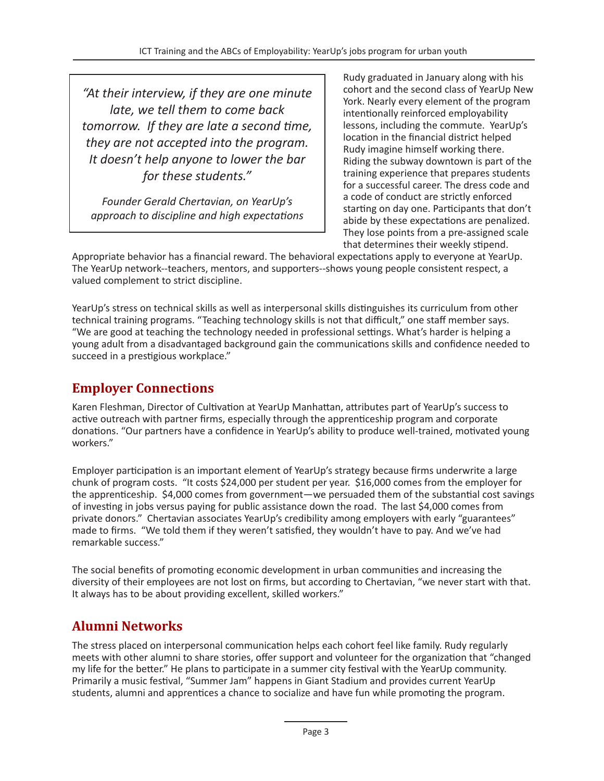*"At their interview, if they are one minute late, we tell them to come back tomorrow. If they are late a second time, they are not accepted into the program. It doesn't help anyone to lower the bar for these students."*

*Founder Gerald Chertavian, on YearUp's approach to discipline and high expectations*

Rudy graduated in January along with his cohort and the second class of YearUp New York. Nearly every element of the program intentionally reinforced employability lessons, including the commute. YearUp's location in the financial district helped Rudy imagine himself working there. Riding the subway downtown is part of the training experience that prepares students for a successful career. The dress code and a code of conduct are strictly enforced starting on day one. Participants that don't abide by these expectations are penalized. They lose points from a pre-assigned scale that determines their weekly stipend.

Appropriate behavior has a financial reward. The behavioral expectations apply to everyone at YearUp. The YearUp network--teachers, mentors, and supporters--shows young people consistent respect, a valued complement to strict discipline.

YearUp's stress on technical skills as well as interpersonal skills distinguishes its curriculum from other technical training programs. "Teaching technology skills is not that difficult," one staff member says. "We are good at teaching the technology needed in professional settings. What's harder is helping a young adult from a disadvantaged background gain the communications skills and confidence needed to succeed in a prestigious workplace."

#### **Employer Connections**

Karen Fleshman, Director of Cultivation at YearUp Manhattan, attributes part of YearUp's success to active outreach with partner firms, especially through the apprenticeship program and corporate donations. "Our partners have a confidence in YearUp's ability to produce well-trained, motivated young workers."

Employer participation is an important element of YearUp's strategy because firms underwrite a large chunk of program costs. "It costs \$24,000 per student per year. \$16,000 comes from the employer for the apprenticeship. \$4,000 comes from government—we persuaded them of the substantial cost savings of investing in jobs versus paying for public assistance down the road. The last \$4,000 comes from private donors." Chertavian associates YearUp's credibility among employers with early "guarantees" made to firms. "We told them if they weren't satisfied, they wouldn't have to pay. And we've had remarkable success."

The social benefits of promoting economic development in urban communities and increasing the diversity of their employees are not lost on firms, but according to Chertavian, "we never start with that. It always has to be about providing excellent, skilled workers."

#### **Alumni Networks**

The stress placed on interpersonal communication helps each cohort feel like family. Rudy regularly meets with other alumni to share stories, offer support and volunteer for the organization that "changed my life for the better." He plans to participate in a summer city festival with the YearUp community. Primarily a music festival, "Summer Jam" happens in Giant Stadium and provides current YearUp students, alumni and apprentices a chance to socialize and have fun while promoting the program.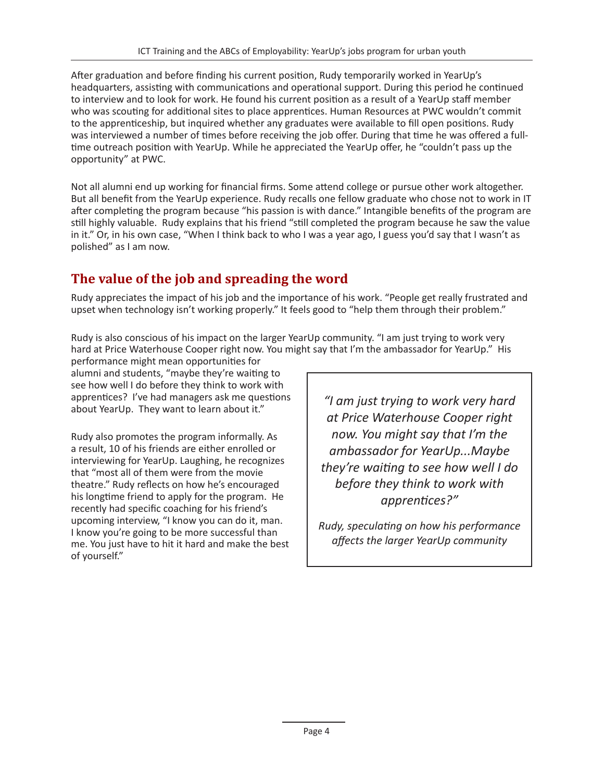After graduation and before finding his current position, Rudy temporarily worked in YearUp's headquarters, assisting with communications and operational support. During this period he continued to interview and to look for work. He found his current position as a result of a YearUp staff member who was scouting for additional sites to place apprentices. Human Resources at PWC wouldn't commit to the apprenticeship, but inquired whether any graduates were available to fill open positions. Rudy was interviewed a number of times before receiving the job offer. During that time he was offered a fulltime outreach position with YearUp. While he appreciated the YearUp offer, he "couldn't pass up the opportunity" at PWC.

Not all alumni end up working for financial firms. Some attend college or pursue other work altogether. But all benefit from the YearUp experience. Rudy recalls one fellow graduate who chose not to work in IT after completing the program because "his passion is with dance." Intangible benefits of the program are still highly valuable. Rudy explains that his friend "still completed the program because he saw the value in it." Or, in his own case, "When I think back to who I was a year ago, I guess you'd say that I wasn't as polished" as I am now.

### **The value of the job and spreading the word**

Rudy appreciates the impact of his job and the importance of his work. "People get really frustrated and upset when technology isn't working properly." It feels good to "help them through their problem."

Rudy is also conscious of his impact on the larger YearUp community. "I am just trying to work very hard at Price Waterhouse Cooper right now. You might say that I'm the ambassador for YearUp." His

performance might mean opportunities for alumni and students, "maybe they're waiting to see how well I do before they think to work with apprentices? I've had managers ask me questions about YearUp. They want to learn about it."

Rudy also promotes the program informally. As a result, 10 of his friends are either enrolled or interviewing for YearUp. Laughing, he recognizes that "most all of them were from the movie theatre." Rudy reflects on how he's encouraged his longtime friend to apply for the program. He recently had specific coaching for his friend's upcoming interview, "I know you can do it, man. I know you're going to be more successful than me. You just have to hit it hard and make the best of yourself."

*"I am just trying to work very hard at Price Waterhouse Cooper right now. You might say that I'm the ambassador for YearUp...Maybe they're waiting to see how well I do before they think to work with apprentices?"*

*Rudy, speculating on how his performance affects the larger YearUp community*